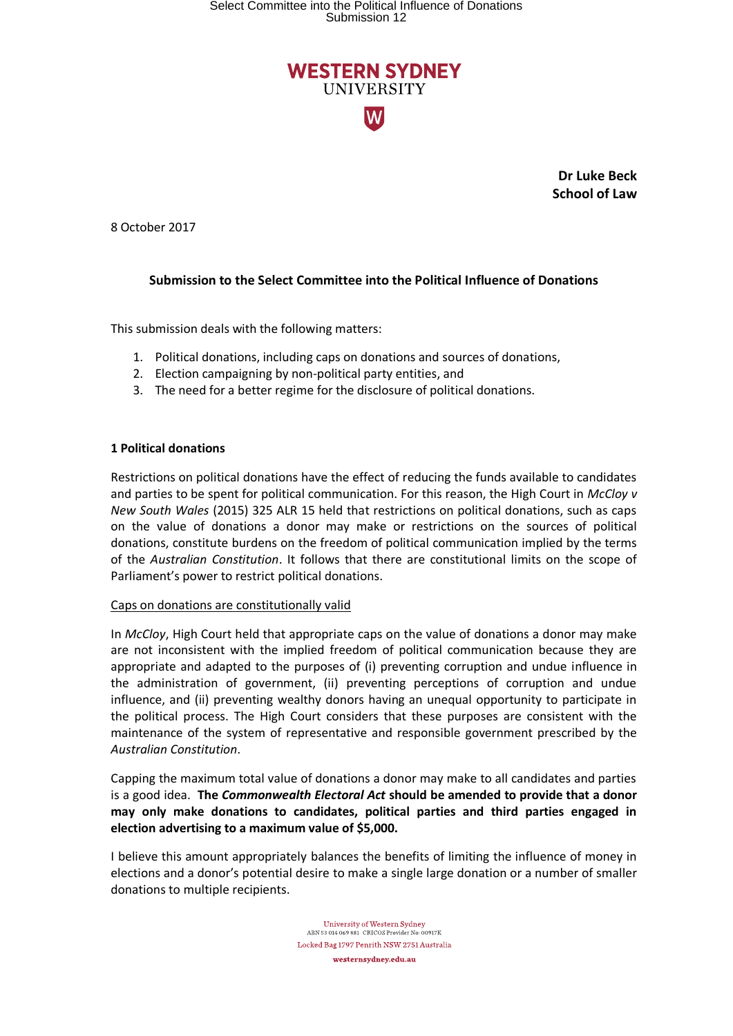# Select Committee into the Political Influence of Donations Submission 12



**Dr Luke Beck School of Law**

8 October 2017

## **Submission to the Select Committee into the Political Influence of Donations**

This submission deals with the following matters:

- 1. Political donations, including caps on donations and sources of donations,
- 2. Election campaigning by non-political party entities, and
- 3. The need for a better regime for the disclosure of political donations.

### **1 Political donations**

Restrictions on political donations have the effect of reducing the funds available to candidates and parties to be spent for political communication. For this reason, the High Court in *McCloy v New South Wales* (2015) 325 ALR 15 held that restrictions on political donations, such as caps on the value of donations a donor may make or restrictions on the sources of political donations, constitute burdens on the freedom of political communication implied by the terms of the *Australian Constitution*. It follows that there are constitutional limits on the scope of Parliament's power to restrict political donations.

#### Caps on donations are constitutionally valid

In *McCloy*, High Court held that appropriate caps on the value of donations a donor may make are not inconsistent with the implied freedom of political communication because they are appropriate and adapted to the purposes of (i) preventing corruption and undue influence in the administration of government, (ii) preventing perceptions of corruption and undue influence, and (ii) preventing wealthy donors having an unequal opportunity to participate in the political process. The High Court considers that these purposes are consistent with the maintenance of the system of representative and responsible government prescribed by the *Australian Constitution*.

Capping the maximum total value of donations a donor may make to all candidates and parties is a good idea. **The** *Commonwealth Electoral Act* **should be amended to provide that a donor may only make donations to candidates, political parties and third parties engaged in election advertising to a maximum value of \$5,000.**

I believe this amount appropriately balances the benefits of limiting the influence of money in elections and a donor's potential desire to make a single large donation or a number of smaller donations to multiple recipients.

> $\begin{array}{c} \textbf{University of Western Sydney} \\ \textbf{ABN 53 014 069 881} \textbf{ CRICOS Providence No: 00917K} \end{array}$ Locked Bag 1797 Penrith NSW 2751 Australia westernsydney.edu.au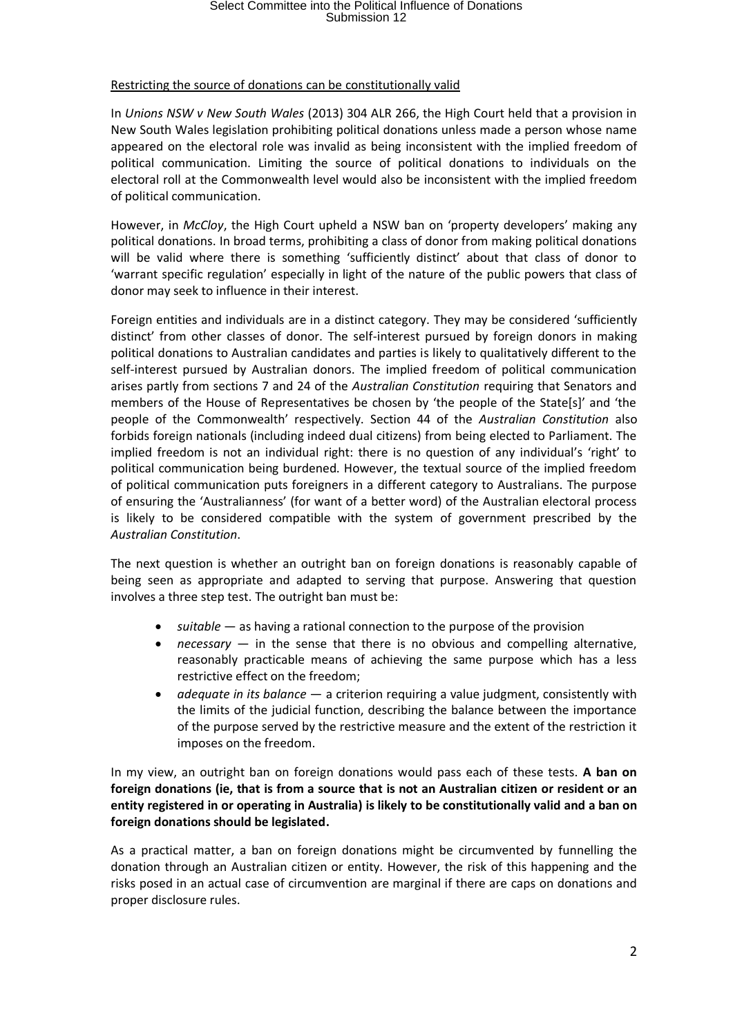## Select Committee into the Political Influence of Donations Submission 12

#### Restricting the source of donations can be constitutionally valid

In *Unions NSW v New South Wales* (2013) 304 ALR 266, the High Court held that a provision in New South Wales legislation prohibiting political donations unless made a person whose name appeared on the electoral role was invalid as being inconsistent with the implied freedom of political communication. Limiting the source of political donations to individuals on the electoral roll at the Commonwealth level would also be inconsistent with the implied freedom of political communication.

However, in *McCloy*, the High Court upheld a NSW ban on 'property developers' making any political donations. In broad terms, prohibiting a class of donor from making political donations will be valid where there is something 'sufficiently distinct' about that class of donor to 'warrant specific regulation' especially in light of the nature of the public powers that class of donor may seek to influence in their interest.

Foreign entities and individuals are in a distinct category. They may be considered 'sufficiently distinct' from other classes of donor. The self-interest pursued by foreign donors in making political donations to Australian candidates and parties is likely to qualitatively different to the self-interest pursued by Australian donors. The implied freedom of political communication arises partly from sections 7 and 24 of the *Australian Constitution* requiring that Senators and members of the House of Representatives be chosen by 'the people of the State[s]' and 'the people of the Commonwealth' respectively. Section 44 of the *Australian Constitution* also forbids foreign nationals (including indeed dual citizens) from being elected to Parliament. The implied freedom is not an individual right: there is no question of any individual's 'right' to political communication being burdened. However, the textual source of the implied freedom of political communication puts foreigners in a different category to Australians. The purpose of ensuring the 'Australianness' (for want of a better word) of the Australian electoral process is likely to be considered compatible with the system of government prescribed by the *Australian Constitution*.

The next question is whether an outright ban on foreign donations is reasonably capable of being seen as appropriate and adapted to serving that purpose. Answering that question involves a three step test. The outright ban must be:

- *suitable* as having a rational connection to the purpose of the provision
- *necessary* in the sense that there is no obvious and compelling alternative, reasonably practicable means of achieving the same purpose which has a less restrictive effect on the freedom;
- *adequate in its balance* a criterion requiring a value judgment, consistently with the limits of the judicial function, describing the balance between the importance of the purpose served by the restrictive measure and the extent of the restriction it imposes on the freedom.

In my view, an outright ban on foreign donations would pass each of these tests. **A ban on foreign donations (ie, that is from a source that is not an Australian citizen or resident or an entity registered in or operating in Australia) is likely to be constitutionally valid and a ban on foreign donations should be legislated.**

As a practical matter, a ban on foreign donations might be circumvented by funnelling the donation through an Australian citizen or entity. However, the risk of this happening and the risks posed in an actual case of circumvention are marginal if there are caps on donations and proper disclosure rules.